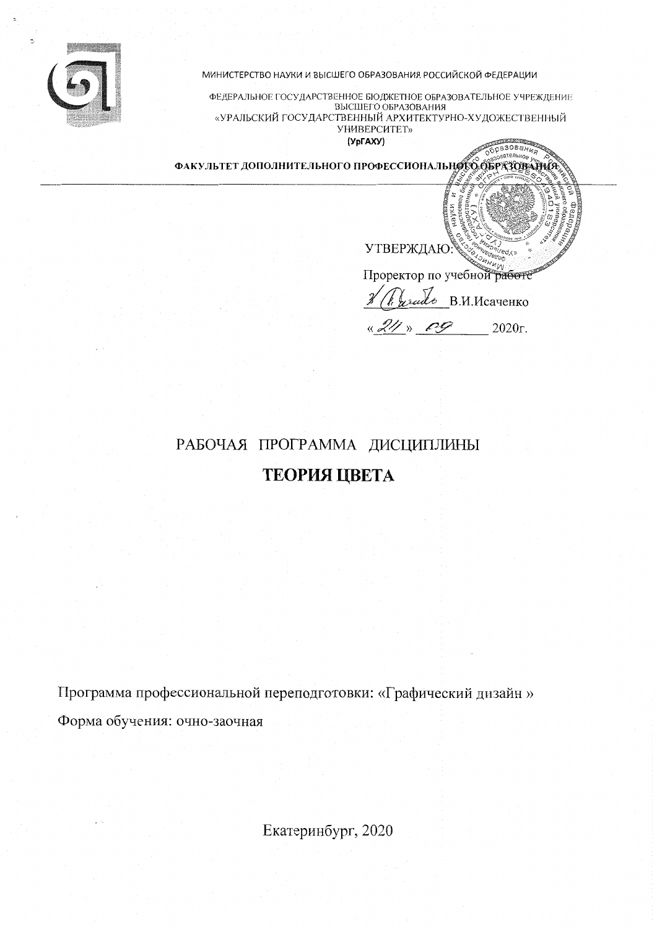

МИНИСТЕРСТВО НАУКИ И ВЫСШЕГО ОБРАЗОВАНИЯ РОССИЙСКОЙ ФЕДЕРАЦИИ

ФЕДЕРАЛЬНОЕ ГОСУДАРСТВЕННОЕ БЮДЖЕТНОЕ ОБРАЗОВАТЕЛЬНОЕ УЧРЕЖДЕНИЕ BLCILLETO OFPA3OBAHUS «УРАЛЬСКИЙ ГОСУДАРСТВЕННЫЙ АРХИТЕКТУРНО-ХУДОЖЕСТВЕННЫЙ **УНИВЕРСИТЕТ»** 

(УрГАХУ)

ФАКУЛЬТЕТ ДОПОЛНИТЕЛЬНОГО ПРОФЕССИОНАЛЬНОГО ОБРАЗОДАНИЯ

**УТВЕРЖДАЮ** 

Проректор по учебной работе

Образования

reals B.M.McayeHKO

 $\rightarrow$   $\sim$  $2020r$ .

# РАБОЧАЯ ПРОГРАММА ДИСЦИПЛИНЫ ТЕОРИЯ ЦВЕТА

Программа профессиональной переподготовки: «Графический дизайн» Форма обучения: очно-заочная

Екатеринбург, 2020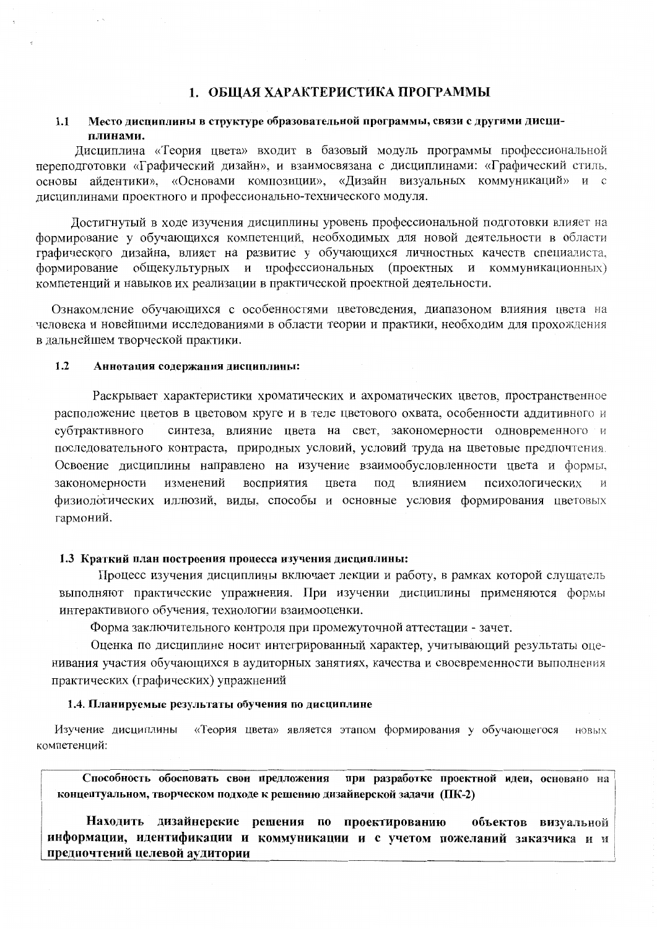### 1. ОБЩАЯ ХАРАКТЕРИСТИКА ПРОГРАММЫ

#### Место дисциплины в структуре образовательной программы, связи с другими дисци- $1.1$ плинами.

Дисциплина «Теория цвета» входит в базовый модуль программы профессиональной переподготовки «Графический дизайн», и взаимосвязана с дисциплинами: «Графический стиль, основы айдентики». «Основами композиции», «Дизайн визуальных коммуникаций» и с дисциплинами проектного и профессионально-технического модуля.

Достигнутый в ходе изучения дисциплины уровень профессиональной подготовки влияет на формирование у обучающихся компетенций, необходимых для новой деятельности в области графического дизайна, влияет на развитие у обучающихся личностных качеств специалиста. формирование общекультурных и профессиональных (проектных и коммуникационных) компетенций и навыков их реализации в практической проектной деятельности.

Ознакомление обучающихся с особенностями цветоведения, диапазоном влияния цвета на человека и новейшими исследованиями в области теории и практики, необходим для прохождения в дальнейшем творческой практики.

#### $1.2$ Аннотация содержания дисциплины:

Раскрывает характеристики хроматических и ахроматических цветов, пространственное расположение цветов в цветовом круге и в теле цветового охвата, особенности аддитивного и субтрактивного синтеза, влияние цвета на свет, закономерности одновременного и последовательного контраста, природных условий, условий труда на цветовые предпочтения. Освоение дисциплины направлено на изучение взаимообусловленности цвета и формы, закономерности изменений восприятия цвета под влиянием психологических  $\boldsymbol{N}$ физиологических иллюзий, виды, способы и основные условия формирования цветовых гармоний.

### 1.3 Краткий план построения процесса изучения дисциплины:

Процесс изучения дисциплины включает лекции и работу, в рамках которой слушатель выполняют практические упражнения. При изучении дисциплины применяются формы интерактивного обучения, технологии взаимооценки.

Форма заключительного контроля при промежуточной аттестации - зачет.

Оценка по дисциплине носит интегрированный характер, учитывающий результаты оценивания участия обучающихся в аудиторных занятиях, качества и своевременности выполнения практических (графических) упражнений

### 1.4. Планируемые результаты обучения по дисциплине

Изучение дисциплины «Теория цвета» является этапом формирования у обучающегося новых компетенний:

Способность обосновать свои предложения при разработке проектной идеи, основано на концептуальном, творческом подходе к решению дизайнерской задачи (ПК-2)

Находить дизайнерские решения по проектированию объектов визуальной информации, идентификации и коммуникации и с учетом пожеланий заказчика и и предпочтений целевой аудитории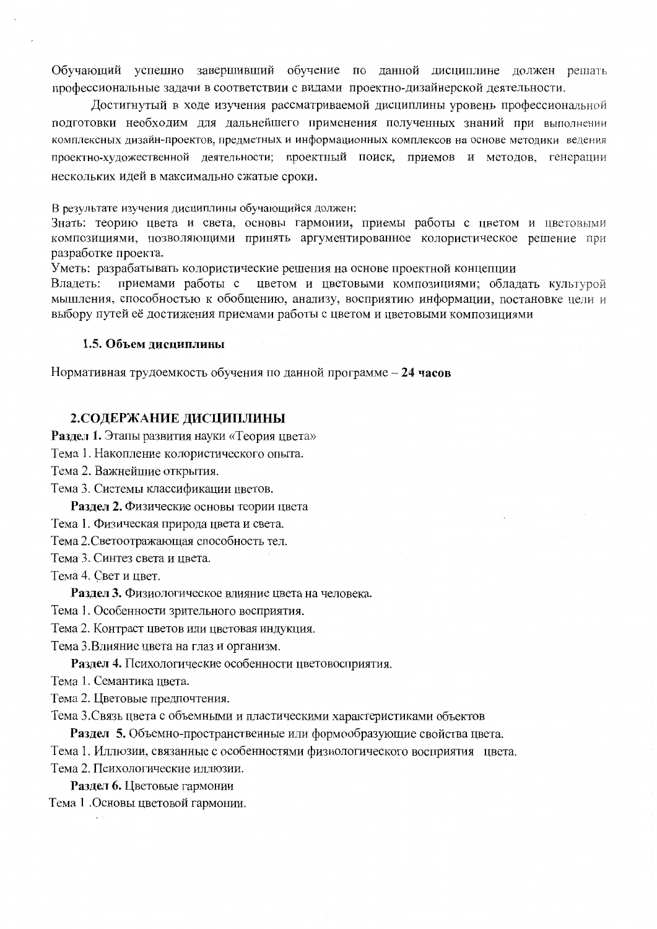Обучающий успешно завершивший обучение по данной дисциплине должен решать профессиональные задачи в соответствии с видами проектно-дизайнерской деятельности.

Достигнутый в ходе изучения рассматриваемой дисциплины уровень профессиональной полготовки необходим для дальнейшего применения полученных знаний при выполнении комплексных дизайн-проектов, предметных и информационных комплексов на основе методики ведения проектно-художественной деятельности; проектный поиск, приемов и методов, генерации нескольких идей в максимально сжатые сроки.

В результате изучения дисциплины обучающийся должен:

Знать: теорию цвета и света, основы гармонии, приемы работы с цветом и цветовыми композициями, позволяющими принять аргументированное колористическое решение при разработке проекта.

Уметь: разрабатывать колористические решения на основе проектной концепции

Владеть: приемами работы с цветом и цветовыми композициями; обладать культурой мышления, способностью к обобщению, анализу, восприятию информации, постановке цели и выбору путей её достижения приемами работы с цветом и цветовыми композициями

#### 1.5. Объем дисциплины

Нормативная трудоемкость обучения по данной программе - 24 часов

### 2. СОДЕРЖАНИЕ ДИСЦИПЛИНЫ

Раздел 1. Этапы развития науки «Теория цвета»

Тема 1. Накопление колористического опыта.

Тема 2. Важнейшие открытия.

Тема 3. Системы классификации цветов.

Раздел 2. Физические основы теории цвета

Тема 1. Физическая природа цвета и света.

Тема 2. Светоотражающая способность тел.

Тема 3. Синтез света и цвета.

Тема 4. Свет и цвет.

Раздел 3. Физиологическое влияние цвета на человека.

Тема 1. Особенности зрительного восприятия.

Тема 2. Контраст цветов или цветовая индукция.

Тема 3. Влияние цвета на глаз и организм.

Раздел 4. Психологические особенности цветовосприятия.

Тема 1. Семантика цвета.

Тема 2. Цветовые предпочтения.

Тема 3. Связь цвета с объемными и пластическими характеристиками объектов

Раздел 5. Объемно-пространственные или формообразующие свойства цвета.

Тема 1. Иллюзии, связанные с особенностями физиологического восприятия цвета.

Тема 2. Психологические иллюзии.

Раздел 6. Цветовые гармонии

Тема 1 .Основы цветовой гармонии.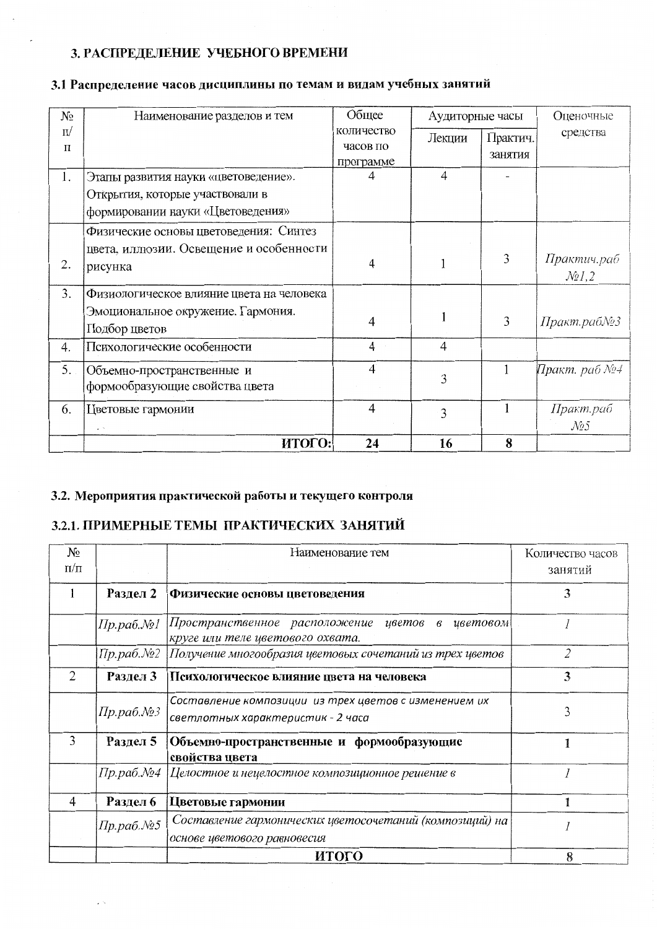# 3. РАСПРЕДЕЛЕНИЕ УЧЕБНОГО ВРЕМЕНИ

| N₫    | Наименование разделов и тем                                  | Общее          | Аудиторные часы |          | Оценочные                                  |
|-------|--------------------------------------------------------------|----------------|-----------------|----------|--------------------------------------------|
| $\Pi$ |                                                              | количество     | Лекции          | Практич. | средства                                   |
| П     |                                                              | часов по       |                 | занятия  |                                            |
| 1.    | Этапы развития науки «цветоведение».                         | программе<br>4 | $\overline{4}$  |          |                                            |
|       | Открытия, которые участвовали в                              |                |                 |          |                                            |
|       | формировании науки «Цветоведения»                            |                |                 |          |                                            |
|       | Физические основы цветоведения: Синтез                       |                |                 |          |                                            |
| 2.    | цвета, иллюзии. Освещение и особенности<br>рисунка           | 4              |                 | 3        | Практич.раб<br>$\mathcal{N}$ <i>e</i> 1, 2 |
| 3.    | Физиологическое влияние цвета на человека                    |                |                 |          |                                            |
|       | Эмоциональное окружение. Гармония.<br>Подбор цветов          | $\overline{4}$ |                 | 3        | Практ.раб№3                                |
| 4.    | Психологические особенности                                  | $\overline{4}$ | 4               |          |                                            |
| 5.    | Объемно-пространственные и<br>формообразующие свойства цвета | 4              | 3               |          | Практ. раб №4                              |
| 6.    | Цветовые гармонии                                            | $\overline{4}$ | 3               |          | Практ.раб                                  |
|       |                                                              |                |                 |          | $\mathcal{N}\!\varrho\mathcal{S}$          |
|       | ИТОГО:                                                       | 24             | 16              | 8        |                                            |

# 3.1 Распределение часов дисциплины по темам и видам учебных занятий

## 3.2. Мероприятия практической работы и текущего контроля

# 3.2.1. ПРИМЕРНЫЕ ТЕМЫ ПРАКТИЧЕСКИХ ЗАНЯТИЙ

 $\epsilon^{-1}$ 

| $N_{\Omega}$<br>$\Pi/\Pi$ |                                | Наименование тем                                                                           | Количество часов<br>занятий |
|---------------------------|--------------------------------|--------------------------------------------------------------------------------------------|-----------------------------|
|                           | Раздел 2                       | Физические основы цветоведения                                                             | 3                           |
|                           | Пр.раб.№1                      | Пространственное расположение цветов<br>в иветовом<br>круге или теле цветового охвата.     |                             |
|                           | Пр.раб. $N2$                   | Получение многообразия цветовых сочетаний из трех цветов                                   | 2                           |
| $\overline{2}$            | Раздел 3                       | Психологическое влияние цвета на человека                                                  | 3                           |
|                           | $\pi p.$ pab. $\mathcal{N}$ 23 | Составление композиции из трех цветов с изменением их<br>светлотных характеристик - 2 часа | 3                           |
| 3                         | Раздел 5                       | Объемно-пространственные и формообразующие<br>свойства цвета                               |                             |
|                           | Пр.раб.№4                      | Целостное и нецелостное композиционное решение в                                           |                             |
| 4                         | Раздел 6                       | Цветовые гармонии                                                                          |                             |
|                           | Пр.раб.№5                      | Составление гармонических цветосочетаний (композиций) на<br>основе цветового равновесия    |                             |
|                           |                                | итого                                                                                      | 8                           |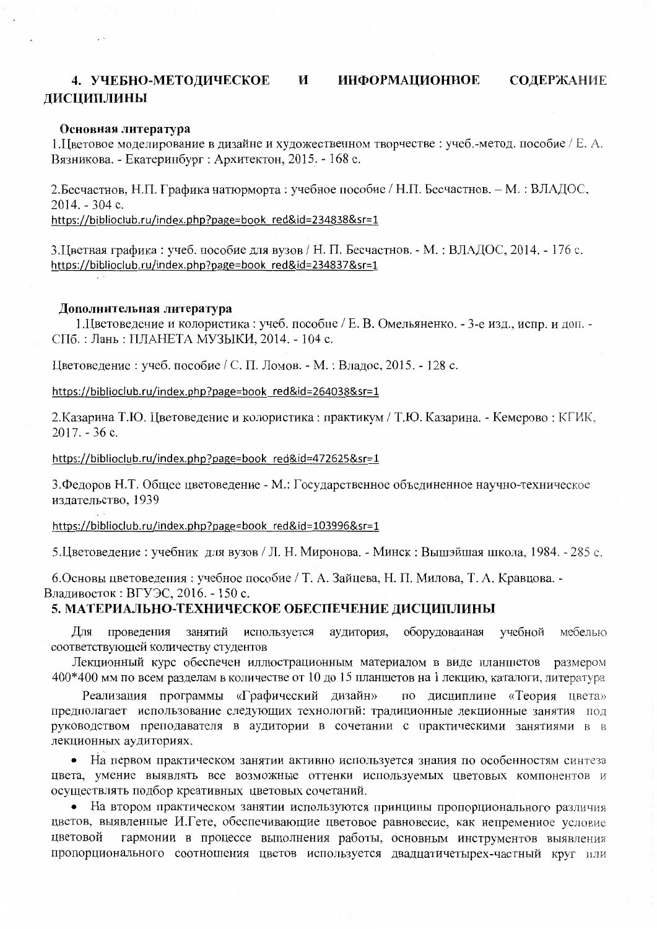#### 4. УЧЕБНО-МЕТОДИЧЕСКОЕ И **ИНФОРМАЦИОННОЕ** СОДЕРЖАНИЕ ДИСЦИПЛИНЫ

### Основная литература

 $\sim$ 

1. Цветовое моделирование в дизайне и художественном творчестве : учеб.-метод. пособие / Е. А. Вязникова. - Екатеринбург : Архитектон, 2015. - 168 с.

2. Бесчастнов, Н.П. Графика натюрморта: учебное пособие / Н.П. Бесчастнов. – М.: ВЛАДОС,  $2014. - 304$  c.

https://biblioclub.ru/index.php?page=book red&id=234838&sr=1

3. Цветная графика: учеб. пособие для вузов / Н. П. Бесчастнов. - М.: ВЛАДОС, 2014. - 176 с. https://biblioclub.ru/index.php?page=book red&id=234837&sr=1

### Дополнительная литература

1. Цветоведение и колористика: учеб. пособие / Е. В. Омельяненко. - 3-е изд., испр. и доп. -СПб.: Лань: ПЛАНЕТА МУЗЫКИ, 2014. - 104 с.

Цветоведение: учеб. пособие / С. П. Ломов. - М.: Владос, 2015. - 128 с.

https://biblioclub.ru/index.php?page=book red&id=264038&sr=1

2. Казарина Т.Ю. Цветоведение и колористика: практикум / Т.Ю. Казарина. - Кемерово: КГИК,  $2017. - 36c.$ 

https://biblioclub.ru/index.php?page=book red&id=472625&sr=1

3. Федоров Н.Т. Общее цветоведение - М.: Государственное объединенное научно-техническое издательство, 1939

https://biblioclub.ru/index.php?page=book red&id=103996&sr=1

5. Цветоведение: учебник для вузов / Л. Н. Миронова. - Минск: Вышэйшая школа, 1984. - 285 с.

6. Основы цветоведения: учебное пособие / Т. А. Зайцева, Н. П. Милова, Т. А. Кравцова. -

Владивосток: ВГУЭС, 2016. - 150 с.

### 5. МАТЕРИАЛЬНО-ТЕХНИЧЕСКОЕ ОБЕСПЕЧЕНИЕ ДИСЦИПЛИНЫ

проведения занятий используется аудитория, оборудованная учебной мебелью Лля соответствующей количеству студентов

Лекционный курс обеспечен иллюстрационным материалом в виде планшетов размером 400\*400 мм по всем разделам в количестве от 10 до 15 планшетов на 1 лекцию, каталоги, литература

Реализация программы «Графический дизайн» по дисциплине «Теория цвета» предполагает использование следующих технологий: традиционные лекционные занятия под руководством преподавателя в аудитории в сочетании с практическими занятиями в в лекционных аудиториях.

• На первом практическом занятии активно используется знания по особенностям синтеза цвета, умение выявлять все возможные оттенки используемых цветовых компонентов и осуществлять подбор креативных цветовых сочетаний.

• На втором практическом занятии используются принципы пропорционального различия цветов, выявленные И.Гете, обеспечивающие цветовое равновесие, как непременное условие цветовой гармонии в процессе выполнения работы, основным инструментов выявления пропорционального соотношения цветов используется двадцатичетырех-частный круг или